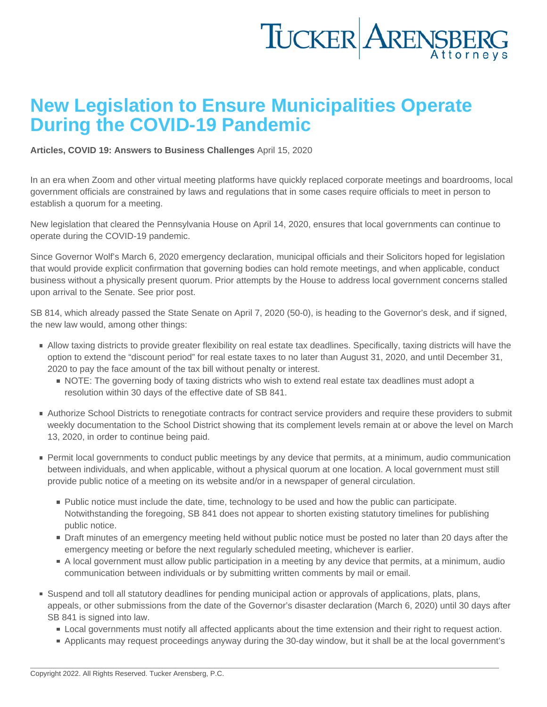## New Legislation to Ensure Municipalities Operate During the COVID-19 Pandemic

[Articles](https://www.tuckerlaw.com/category/articles/), [COVID 19: Answers to Business Challenges](https://www.tuckerlaw.com/category/covid-19-answers-to-business-challenges/) April 15, 2020

In an era when Zoom and other virtual meeting platforms have quickly replaced corporate meetings and boardrooms, local government officials are constrained by laws and regulations that in some cases require officials to meet in person to establish a quorum for a meeting.

New legislation that cleared the Pennsylvania House on April 14, 2020, ensures that local governments can continue to operate during the COVID-19 pandemic.

Since Governor Wolf's March 6, 2020 emergency declaration, municipal officials and their Solicitors hoped for legislation that would provide explicit confirmation that governing bodies can hold remote meetings, and when applicable, conduct business without a physically present quorum. Prior attempts by the House to address local government concerns stalled upon arrival to the Senate. See prior [post](https://www.tuckerlaw.com/2020/03/27/covid-19s-impact-on-municipal-meetings-and-timelines/).

SB 814, which already passed the State Senate on April 7, 2020 (50-0), is heading to the Governor's desk, and if signed, the new law would, among other things:

- Allow taxing districts to provide greater flexibility on real estate tax deadlines. Specifically, taxing districts will have the option to extend the "discount period" for real estate taxes to no later than August 31, 2020, and until December 31, 2020 to pay the face amount of the tax bill without penalty or interest.
	- NOTE: The governing body of taxing districts who wish to extend real estate tax deadlines must adopt a resolution within 30 days of the effective date of SB 841.
- Authorize School Districts to renegotiate contracts for contract service providers and require these providers to submit weekly documentation to the School District showing that its complement levels remain at or above the level on March 13, 2020, in order to continue being paid.
- **Permit local governments to conduct public meetings by any device that permits, at a minimum, audio communication** between individuals, and when applicable, without a physical quorum at one location. A local government must still provide public notice of a meeting on its website and/or in a newspaper of general circulation.
	- **Public notice must include the date, time, technology to be used and how the public can participate.** Notwithstanding the foregoing, SB 841 does not appear to shorten existing statutory timelines for publishing public notice.
	- Draft minutes of an emergency meeting held without public notice must be posted no later than 20 days after the emergency meeting or before the next regularly scheduled meeting, whichever is earlier.
	- A local government must allow public participation in a meeting by any device that permits, at a minimum, audio communication between individuals or by submitting written comments by mail or email.
- Suspend and toll all statutory deadlines for pending municipal action or approvals of applications, plats, plans, appeals, or other submissions from the date of the Governor's disaster declaration (March 6, 2020) until 30 days after SB 841 is signed into law.
	- **Local governments must notify all affected applicants about the time extension and their right to request action.**
	- Applicants may request proceedings anyway during the 30-day window, but it shall be at the local government's